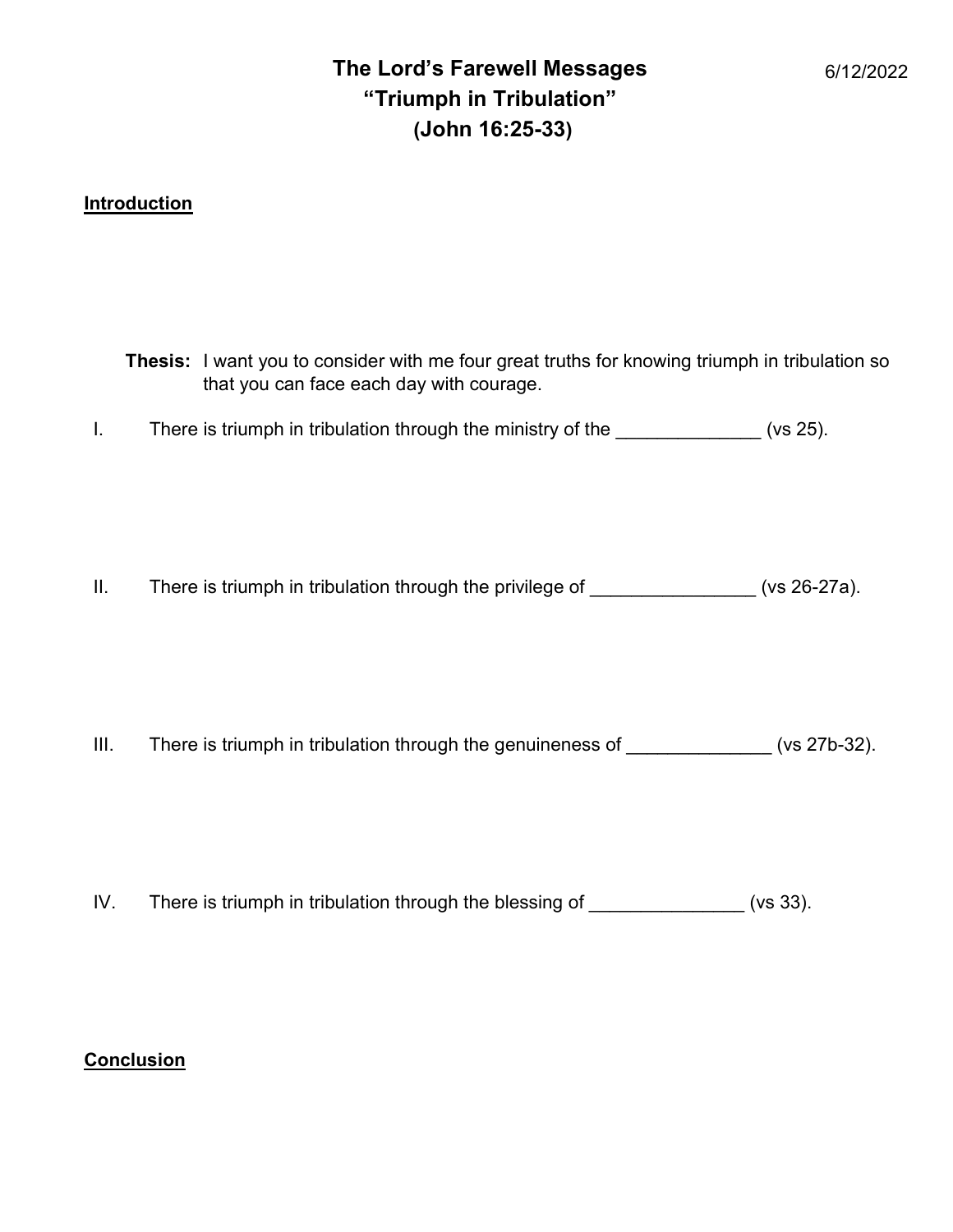## **Introduction**

|                 | <b>Thesis:</b> I want you to consider with me four great truths for knowing triumph in tribulation so<br>that you can face each day with courage. |  |
|-----------------|---------------------------------------------------------------------------------------------------------------------------------------------------|--|
| L.              | There is triumph in tribulation through the ministry of the _______________(vs 25).                                                               |  |
| $\mathbf{II}$ . | There is triumph in tribulation through the privilege of ________________(vs 26-27a).                                                             |  |
| III.            | There is triumph in tribulation through the genuineness of (vs 27b-32).                                                                           |  |

IV. There is triumph in tribulation through the blessing of \_\_\_\_\_\_\_\_\_\_\_\_\_\_ (vs 33).

## **Conclusion**